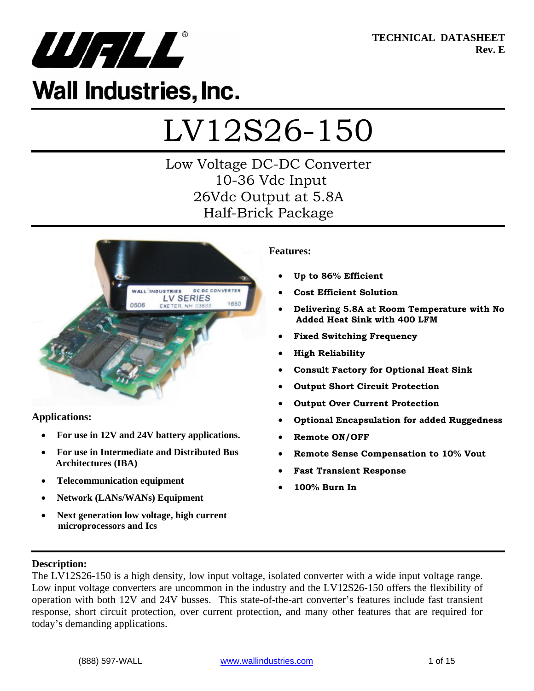

**TECHNICAL DATASHEET Rev. E** 

## **Wall Industries, Inc.**

# LV12S26-150

## Low Voltage DC-DC Converter 10-36 Vdc Input 26Vdc Output at 5.8A Half-Brick Package



#### **Applications:**

- **For use in 12V and 24V battery applications.**
- **For use in Intermediate and Distributed Bus Architectures (IBA)**
- **Telecommunication equipment**
- **Network (LANs/WANs) Equipment**
- **Next generation low voltage, high current microprocessors and Ics**

#### **Features:**

- **Up to 86% Efficient**
- **Cost Efficient Solution**
- **Delivering 5.8A at Room Temperature with No Added Heat Sink with 400 LFM**
- **Fixed Switching Frequency**
- **High Reliability**
- **Consult Factory for Optional Heat Sink**
- **Output Short Circuit Protection**
- **Output Over Current Protection**
- **Optional Encapsulation for added Ruggedness**
- **Remote ON/OFF**
- **Remote Sense Compensation to 10% Vout**
- **Fast Transient Response**
- **100% Burn In**

#### **Description:**

The LV12S26-150 is a high density, low input voltage, isolated converter with a wide input voltage range. Low input voltage converters are uncommon in the industry and the LV12S26-150 offers the flexibility of operation with both 12V and 24V busses. This state-of-the-art converter's features include fast transient response, short circuit protection, over current protection, and many other features that are required for today's demanding applications.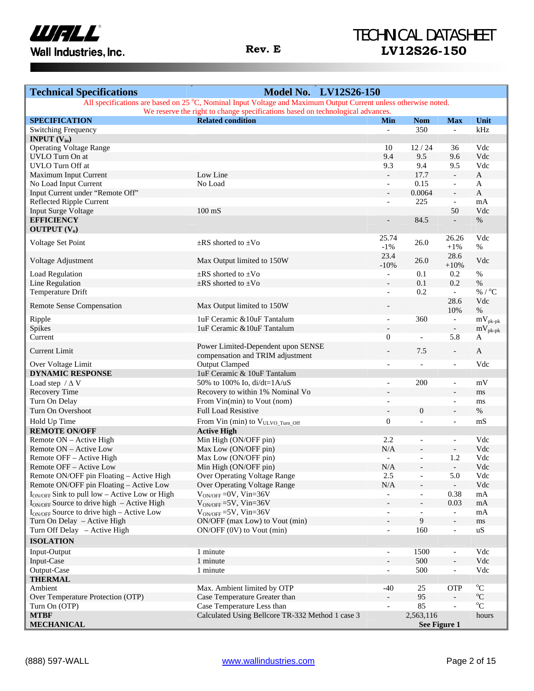

| <b>Technical Specifications</b>                           | <b>Model No. LV12S26-150</b>                                                                                    |                          |                                  |                                                          |                         |
|-----------------------------------------------------------|-----------------------------------------------------------------------------------------------------------------|--------------------------|----------------------------------|----------------------------------------------------------|-------------------------|
|                                                           | All specifications are based on 25 °C, Nominal Input Voltage and Maximum Output Current unless otherwise noted. |                          |                                  |                                                          |                         |
|                                                           | We reserve the right to change specifications based on technological advances.                                  |                          |                                  |                                                          |                         |
| <b>SPECIFICATION</b>                                      | <b>Related condition</b>                                                                                        | Min                      | <b>Nom</b>                       | <b>Max</b>                                               | Unit                    |
| <b>Switching Frequency</b>                                |                                                                                                                 | $\equiv$                 | 350                              | $\overline{\phantom{a}}$                                 | kHz                     |
| <b>INPUT</b> $(V_{in})$                                   |                                                                                                                 |                          |                                  |                                                          |                         |
| <b>Operating Voltage Range</b>                            |                                                                                                                 | 10                       | 12/24                            | 36                                                       | Vdc                     |
| UVLO Turn On at<br>UVLO Turn Off at                       |                                                                                                                 | 9.4<br>9.3               | 9.5<br>9.4                       | 9.6                                                      | Vdc<br>Vdc              |
| Maximum Input Current                                     | Low Line                                                                                                        | $\blacksquare$           | 17.7                             | 9.5<br>$\blacksquare$                                    | $\mathbf{A}$            |
| No Load Input Current                                     | No Load                                                                                                         | $\overline{\phantom{a}}$ | 0.15                             | $\overline{\phantom{a}}$                                 | A                       |
| Input Current under "Remote Off"                          |                                                                                                                 | $\overline{\phantom{a}}$ | 0.0064                           | $\overline{\phantom{a}}$                                 | $\mathbf A$             |
| Reflected Ripple Current                                  |                                                                                                                 | $\overline{\phantom{a}}$ | 225                              | $\overline{\phantom{a}}$                                 | mA                      |
| <b>Input Surge Voltage</b>                                | $100 \text{ mS}$                                                                                                |                          |                                  | 50                                                       | Vdc                     |
| <b>EFFICIENCY</b>                                         |                                                                                                                 |                          | 84.5                             | $\overline{\phantom{a}}$                                 | $\%$                    |
| <b>OUTPUT</b> $(V_0)$                                     |                                                                                                                 |                          |                                  |                                                          |                         |
|                                                           |                                                                                                                 | 25.74                    |                                  | 26.26                                                    | Vdc                     |
| Voltage Set Point                                         | $\pm$ RS shorted to $\pm$ Vo                                                                                    | $-1%$                    | 26.0                             | $+1\%$                                                   | $\%$                    |
|                                                           |                                                                                                                 | 23.4                     | 26.0                             | 28.6                                                     | Vdc                     |
| Voltage Adjustment                                        | Max Output limited to 150W                                                                                      | $-10%$                   |                                  | $+10%$                                                   |                         |
| Load Regulation                                           | $\pm$ RS shorted to $\pm$ Vo                                                                                    | $\equiv$                 | 0.1                              | 0.2                                                      | $\%$                    |
| Line Regulation                                           | $\pm$ RS shorted to $\pm$ Vo                                                                                    | $\overline{\phantom{a}}$ | 0.1                              | 0.2                                                      | $\%$                    |
| Temperature Drift                                         |                                                                                                                 | $\overline{\phantom{a}}$ | 0.2                              | $\sim$                                                   | % / $^{\circ}C$         |
| <b>Remote Sense Compensation</b>                          | Max Output limited to 150W                                                                                      |                          |                                  | 28.6                                                     | Vdc                     |
|                                                           |                                                                                                                 |                          |                                  | 10%                                                      | $\%$                    |
| Ripple                                                    | 1uF Ceramic & 10uF Tantalum                                                                                     | $\overline{\phantom{a}}$ | 360                              | $\blacksquare$                                           | $mV_{\rm pk\text{-}pk}$ |
| Spikes                                                    | 1uF Ceramic & 10uF Tantalum                                                                                     |                          |                                  | $\overline{\phantom{a}}$                                 | $mV_{pk-pk}$            |
| Current                                                   |                                                                                                                 | $\boldsymbol{0}$         | $\overline{a}$                   | 5.8                                                      | A                       |
| <b>Current Limit</b>                                      | Power Limited-Dependent upon SENSE                                                                              | $\overline{\phantom{a}}$ | 7.5                              | $\overline{\phantom{a}}$                                 | A                       |
|                                                           | compensation and TRIM adjustment                                                                                |                          |                                  |                                                          | Vdc                     |
| Over Voltage Limit<br><b>DYNAMIC RESPONSE</b>             | <b>Output Clamped</b><br>1uF Ceramic & 10uF Tantalum                                                            | $\overline{\phantom{a}}$ | $\overline{a}$                   | $\overline{\phantom{a}}$                                 |                         |
|                                                           | 50% to 100% Io, $di/dt = 1A/uS$                                                                                 |                          | 200                              |                                                          | mV                      |
| Load step $/\Delta V$<br>Recovery Time                    | Recovery to within 1% Nominal Vo                                                                                | $\blacksquare$           |                                  | $\overline{\phantom{a}}$<br>$\overline{a}$               |                         |
| Turn On Delay                                             | From Vin(min) to Vout (nom)                                                                                     | $\overline{\phantom{a}}$ |                                  | $\overline{\phantom{a}}$                                 | ms                      |
| Turn On Overshoot                                         | <b>Full Load Resistive</b>                                                                                      | $\overline{\phantom{a}}$ | $\boldsymbol{0}$                 | $\overline{\phantom{a}}$                                 | ms<br>$\%$              |
|                                                           |                                                                                                                 |                          |                                  |                                                          |                         |
| Hold Up Time                                              | From Vin (min) to VULVO_Turn_Off                                                                                | $\boldsymbol{0}$         | $\overline{a}$                   | $\overline{\phantom{a}}$                                 | mS                      |
| <b>REMOTE ON/OFF</b>                                      | <b>Active High</b>                                                                                              | 2.2                      |                                  |                                                          | Vdc                     |
| Remote ON – Active High                                   | Min High (ON/OFF pin)<br>Max Low (ON/OFF pin)                                                                   | N/A                      | $\qquad \qquad \Box$             | $\overline{\phantom{a}}$                                 | Vdc                     |
| Remote ON – Active Low<br>Remote OFF - Active High        | Max Low (ON/OFF pin)                                                                                            | $\blacksquare$           | $\overline{a}$                   | $\overline{\phantom{a}}$<br>1.2                          | Vdc                     |
| Remote OFF - Active Low                                   | Min High (ON/OFF pin)                                                                                           | N/A                      | $\blacksquare$<br>$\overline{a}$ | $\overline{\phantom{a}}$                                 | Vdc                     |
| Remote ON/OFF pin Floating - Active High                  | Over Operating Voltage Range                                                                                    | 2.5                      | $\overline{a}$                   | 5.0                                                      | Vdc                     |
| Remote ON/OFF pin Floating - Active Low                   | Over Operating Voltage Range                                                                                    | $\rm N/A$                |                                  | $\overline{\phantom{a}}$                                 | Vdc                     |
| I <sub>ON/OFF</sub> Sink to pull low - Active Low or High | $V_{ON/OFF}$ =0V, Vin=36V                                                                                       |                          |                                  | 0.38                                                     | mA                      |
| $I_{ON/OFF}$ Source to drive high – Active High           | $V_{ON/OFF}$ =5V, Vin=36V                                                                                       |                          |                                  | 0.03                                                     | mA                      |
| $I_{ON/OFF}$ Source to drive high - Active Low            | $V_{ON/OFF}$ =5V, Vin=36V                                                                                       | $\overline{\phantom{a}}$ | $\overline{a}$                   | $\overline{\phantom{a}}$                                 | mA                      |
| Turn On Delay – Active High                               | ON/OFF (max Low) to Vout (min)                                                                                  |                          | $\overline{9}$                   |                                                          | ms                      |
| Turn Off Delay - Active High                              | $ON/OFF (0V)$ to Vout (min)                                                                                     | $\overline{\phantom{a}}$ | 160                              | $\overline{\phantom{a}}$                                 | uS                      |
| <b>ISOLATION</b>                                          |                                                                                                                 |                          |                                  |                                                          |                         |
|                                                           |                                                                                                                 |                          |                                  |                                                          |                         |
| Input-Output                                              | 1 minute                                                                                                        | $\overline{\phantom{a}}$ | 1500                             | $\overline{\phantom{a}}$                                 | Vdc                     |
| Input-Case                                                | 1 minute<br>1 minute                                                                                            | $\overline{a}$           | 500<br>500                       | $\overline{\phantom{a}}$<br>$\qquad \qquad \blacksquare$ | Vdc<br>Vdc              |
| Output-Case<br><b>THERMAL</b>                             |                                                                                                                 | $\overline{\phantom{a}}$ |                                  |                                                          |                         |
| Ambient                                                   | Max. Ambient limited by OTP                                                                                     | $-40$                    | 25                               | <b>OTP</b>                                               | $^{\circ}C$             |
| Over Temperature Protection (OTP)                         | Case Temperature Greater than                                                                                   |                          | 95                               |                                                          | $^{\rm o}\!{\rm C}$     |
| Turn On (OTP)                                             | Case Temperature Less than                                                                                      | $\overline{\phantom{a}}$ | 85                               | $\overline{a}$                                           | $\rm ^{o}C$             |
| <b>MTBF</b>                                               | Calculated Using Bellcore TR-332 Method 1 case 3                                                                |                          | 2,563,116                        |                                                          | hours                   |
| <b>MECHANICAL</b>                                         |                                                                                                                 |                          |                                  | See Figure 1                                             |                         |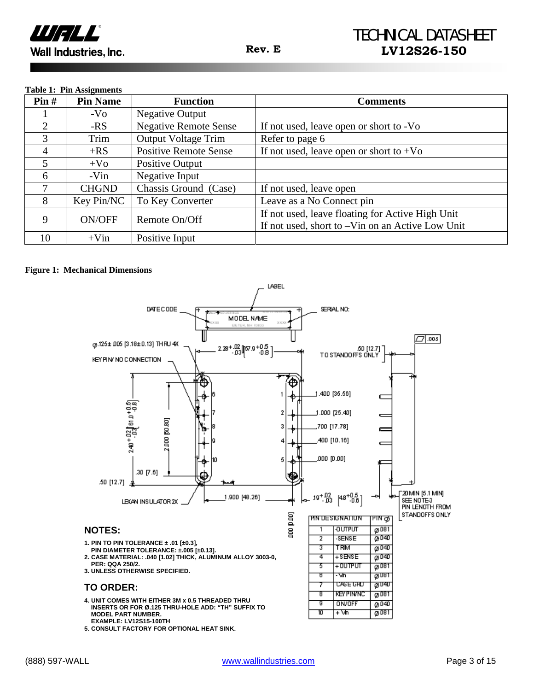

#### **Table 1: Pin Assignments**

| $\textbf{Pin} \#$ | <b>Pin Name</b> | <b>Function</b>              | <b>Comments</b>                                                                                      |
|-------------------|-----------------|------------------------------|------------------------------------------------------------------------------------------------------|
|                   | $-VO$           | <b>Negative Output</b>       |                                                                                                      |
| 2                 | $-RS$           | <b>Negative Remote Sense</b> | If not used, leave open or short to -Vo                                                              |
| 3                 | Trim            | <b>Output Voltage Trim</b>   | Refer to page 6                                                                                      |
| 4                 | $+RS$           | <b>Positive Remote Sense</b> | If not used, leave open or short to $+V_0$                                                           |
| 5                 | $+V_0$          | Positive Output              |                                                                                                      |
| 6                 | -Vin            | Negative Input               |                                                                                                      |
| 7                 | <b>CHGND</b>    | Chassis Ground (Case)        | If not used, leave open                                                                              |
| 8                 | Key Pin/NC      | To Key Converter             | Leave as a No Connect pin                                                                            |
| 9                 | ON/OFF          | Remote On/Off                | If not used, leave floating for Active High Unit<br>If not used, short to -Vin on an Active Low Unit |
| 10                | $+V$ in         | Positive Input               |                                                                                                      |

#### **Figure 1: Mechanical Dimensions**

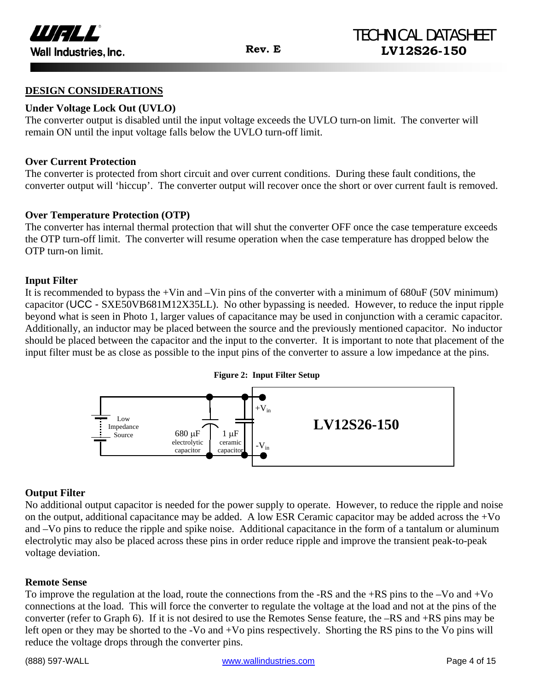

#### **DESIGN CONSIDERATIONS**

#### **Under Voltage Lock Out (UVLO)**

The converter output is disabled until the input voltage exceeds the UVLO turn-on limit. The converter will remain ON until the input voltage falls below the UVLO turn-off limit.

#### **Over Current Protection**

The converter is protected from short circuit and over current conditions. During these fault conditions, the converter output will 'hiccup'. The converter output will recover once the short or over current fault is removed.

#### **Over Temperature Protection (OTP)**

The converter has internal thermal protection that will shut the converter OFF once the case temperature exceeds the OTP turn-off limit. The converter will resume operation when the case temperature has dropped below the OTP turn-on limit.

#### **Input Filter**

It is recommended to bypass the  $+V$ in and  $-V$ in pins of the converter with a minimum of 680uF (50V minimum) capacitor (UCC - SXE50VB681M12X35LL). No other bypassing is needed. However, to reduce the input ripple beyond what is seen in Photo 1, larger values of capacitance may be used in conjunction with a ceramic capacitor. Additionally, an inductor may be placed between the source and the previously mentioned capacitor. No inductor should be placed between the capacitor and the input to the converter. It is important to note that placement of the input filter must be as close as possible to the input pins of the converter to assure a low impedance at the pins.



#### **Output Filter**

No additional output capacitor is needed for the power supply to operate. However, to reduce the ripple and noise on the output, additional capacitance may be added. A low ESR Ceramic capacitor may be added across the +Vo and –Vo pins to reduce the ripple and spike noise. Additional capacitance in the form of a tantalum or aluminum electrolytic may also be placed across these pins in order reduce ripple and improve the transient peak-to-peak voltage deviation.

#### **Remote Sense**

To improve the regulation at the load, route the connections from the -RS and the +RS pins to the –Vo and +Vo connections at the load. This will force the converter to regulate the voltage at the load and not at the pins of the converter (refer to Graph 6). If it is not desired to use the Remotes Sense feature, the –RS and +RS pins may be left open or they may be shorted to the -Vo and +Vo pins respectively. Shorting the RS pins to the Vo pins will reduce the voltage drops through the converter pins.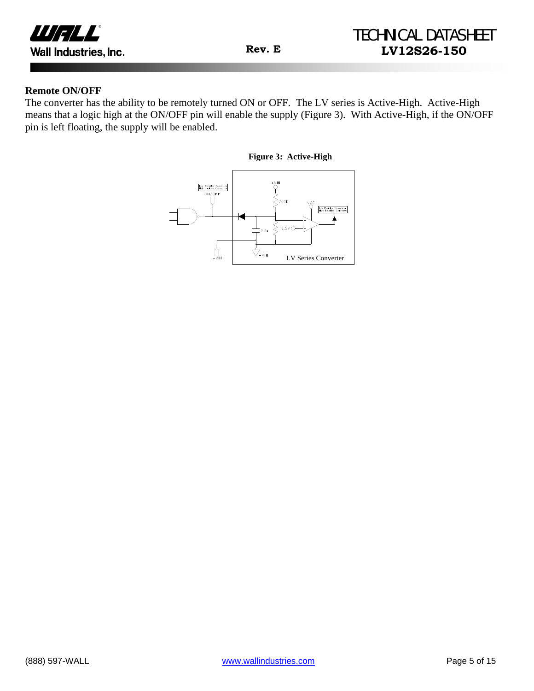

#### **Remote ON/OFF**

The converter has the ability to be remotely turned ON or OFF. The LV series is Active-High. Active-High means that a logic high at the ON/OFF pin will enable the supply (Figure 3). With Active-High, if the ON/OFF pin is left floating, the supply will be enabled.

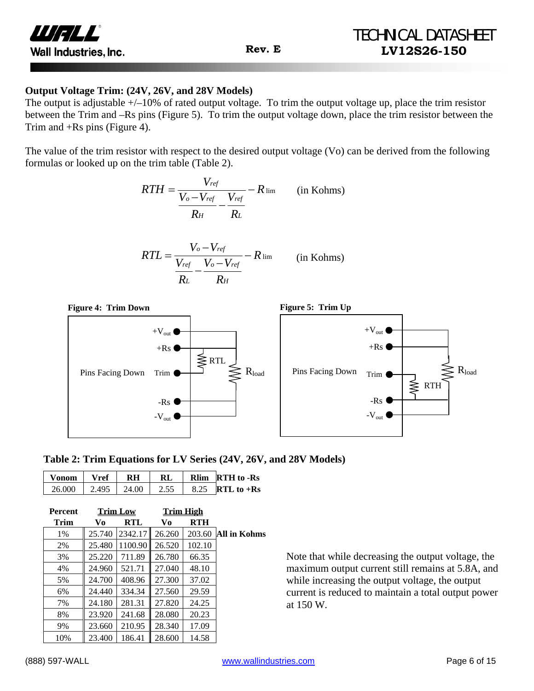

#### **Output Voltage Trim: (24V, 26V, and 28V Models)**

The output is adjustable  $+/-10\%$  of rated output voltage. To trim the output voltage up, place the trim resistor between the Trim and –Rs pins (Figure 5). To trim the output voltage down, place the trim resistor between the Trim and +Rs pins (Figure 4).

The value of the trim resistor with respect to the desired output voltage (Vo) can be derived from the following formulas or looked up on the trim table (Table 2).

$$
RTH = \frac{V_{ref}}{\frac{V_o - V_{ref}}{R_H} - \frac{V_{ref}}{R_L}} - R_{\text{lim}} \qquad \text{(in Kohns)}
$$

$$
RTL = \frac{V_o - V_{ref}}{\frac{V_{ref}}{R_L} - \frac{V_o - V_{ref}}{R_H}} - R \lim_{\text{lim}} \qquad \text{(in Kohns)}
$$



|  | Table 2: Trim Equations for LV Series (24V, 26V, and 28V Models) |
|--|------------------------------------------------------------------|
|--|------------------------------------------------------------------|

| Vonom   Vref   RH        |  | RL   | Rlim RTH to -Rs         |
|--------------------------|--|------|-------------------------|
| $26.000$   2.495   24.00 |  | 2.55 | $\vert$ 8.25 RTL to +Rs |

| <b>Percent</b> |        | <b>Trim Low</b> | <b>Trim High</b> |        |              |
|----------------|--------|-----------------|------------------|--------|--------------|
| <b>Trim</b>    | Vo     | RTL             | Vo               | RTH    |              |
| 1%             | 25.740 | 2342.17         | 26.260           | 203.60 | All in Kohms |
| 2%             | 25.480 | 1100.90         | 26.520           | 102.10 |              |
| 3%             | 25.220 | 711.89          | 26.780           | 66.35  |              |
| 4%             | 24.960 | 521.71          | 27.040           | 48.10  |              |
| 5%             | 24.700 | 408.96          | 27.300           | 37.02  |              |
| 6%             | 24.440 | 334.34          | 27.560           | 29.59  |              |
| 7%             | 24.180 | 281.31          | 27.820           | 24.25  |              |
| 8%             | 23.920 | 241.68          | 28.080           | 20.23  |              |
| 9%             | 23.660 | 210.95          | 28.340           | 17.09  |              |
| 10%            | 23.400 | 186.41          | 28.600           | 14.58  |              |

Note that while decreasing the output voltage, the maximum output current still remains at 5.8A, and while increasing the output voltage, the output current is reduced to maintain a total output power at 150 W.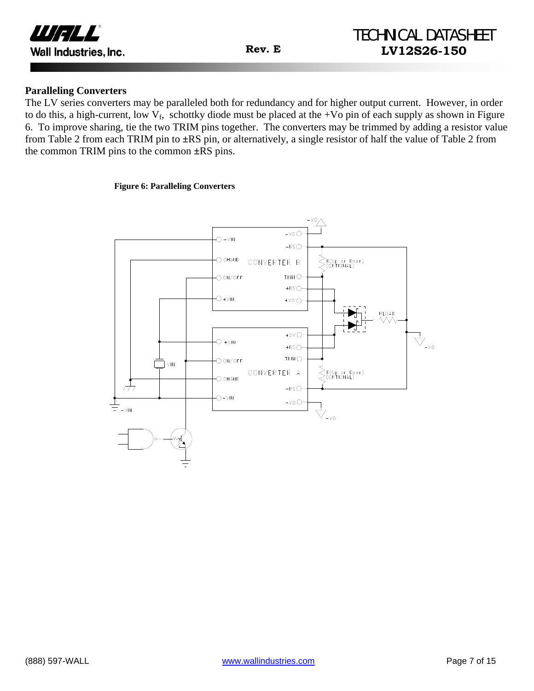

#### **Paralleling Converters**

The LV series converters may be paralleled both for redundancy and for higher output current. However, in order to do this, a high-current, low  $V_f$ , schottky diode must be placed at the +Vo pin of each supply as shown in Figure 6. To improve sharing, tie the two TRIM pins together. The converters may be trimmed by adding a resistor value from Table 2 from each TRIM pin to **±**RS pin, or alternatively, a single resistor of half the value of Table 2 from the common TRIM pins to the common **±**RS pins.

#### **Figure 6: Paralleling Converters**

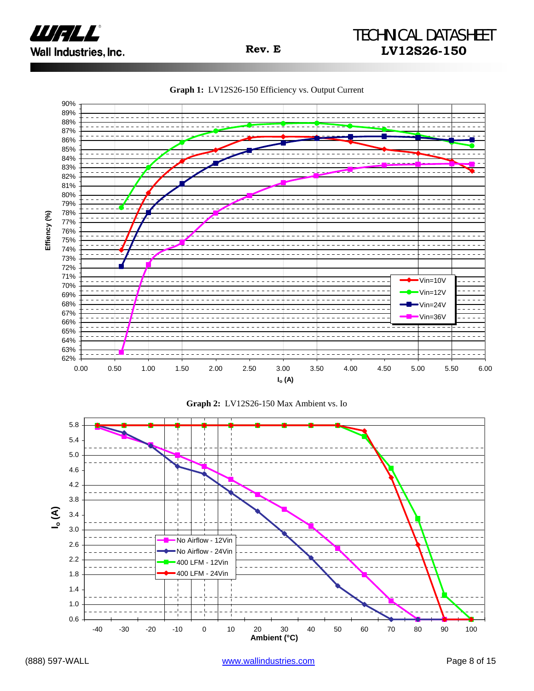

**Graph 1:** LV12S26-150 Efficiency vs. Output Current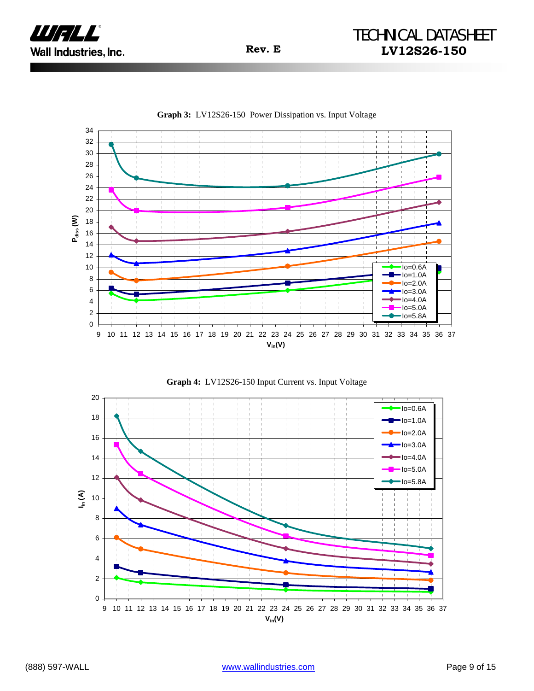

0 2 4 6 8 10 12 14 16 18 20 22 24 26 28 30 32 34 9 10 11 12 13 14 15 16 17 18 19 20 21 22 23 24 25 26 27 28 29 30 31 32 33 34 35 36 37 **Vin(V) Pdiss (W)** Io=0.6A Io=1.0A Io=2.0A  $Io=3.0A$  $Io=4.0A$  $Io=5.0A$  $Io=5.8A$ 



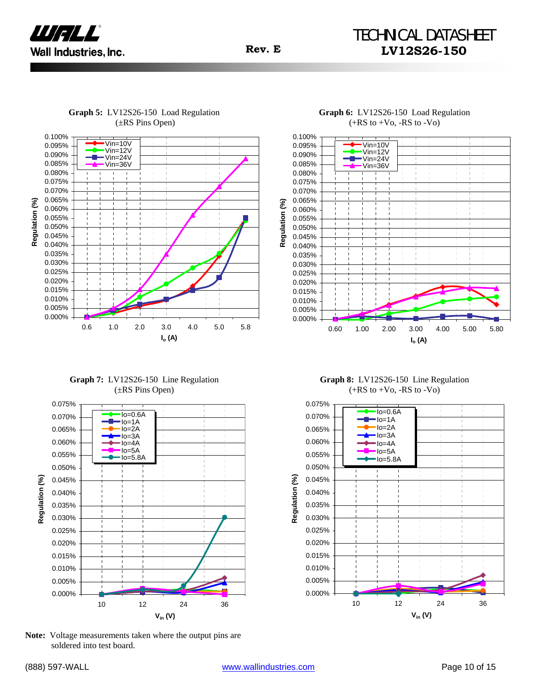

## TECHNICAL DATASHEET **Rev. E LV12S26-150**

**Graph 5:** LV12S26-150 Load Regulation (±RS Pins Open)



0.100%



**Graph 7:** LV12S26-150 Line Regulation (±RS Pins Open)



**Note:** Voltage measurements taken where the output pins are soldered into test board.

 $(+RS to +Vo, -RS to -Vo)$ 0.100% Vin=10V 0.095% Vin=12V 0.090% Vin=24V 0.085% Vin=36V 0.080% 0.075% 0.070% 0.065%  $\mathcal{E}$ **Regulation (%)** 0.060% Regulation  $\mathbf{I}$  $\mathbf{r}$ 0.055% 0.050% 0.045% 0.040% 0.035% 0.030%  $\mathbf{I}$  $\mathbf{I}$ 0.025% 0.020% 0.015% 0.010% 0.005% 0.000% 0.60 1.00 2.00 3.00 4.00 5.00 5.80 **Io (A)**

**Graph 6:** LV12S26-150 Load Regulation

**Graph 8:** LV12S26-150 Line Regulation  $(+RS to +Vo, -RS to -Vo)$ 

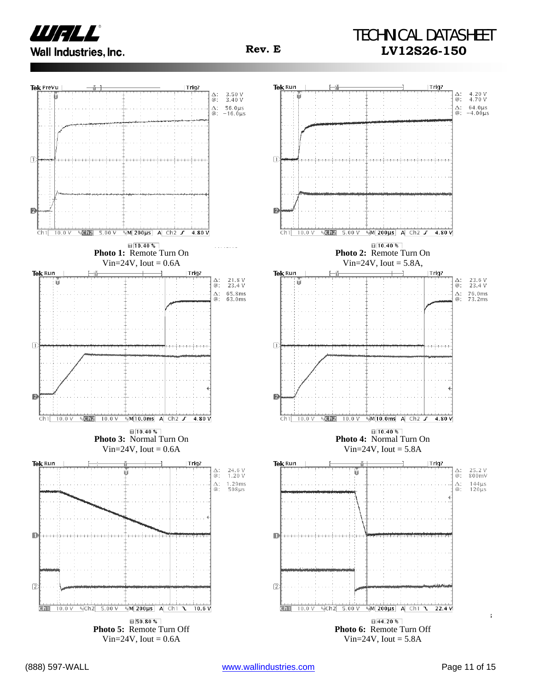

## TECHNICAL DATASHEET **Rev. E LV12S26-150**

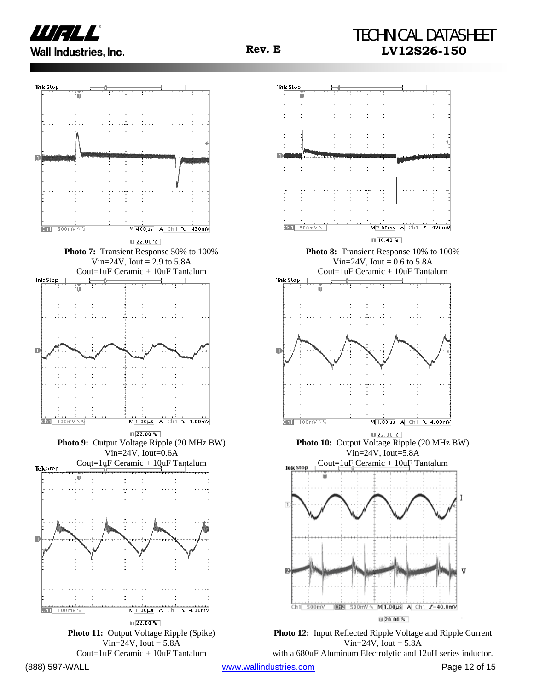





Vin= $24V$ , Iout =  $5.8A$ with a 680uF Aluminum Electrolytic and 12uH series inductor.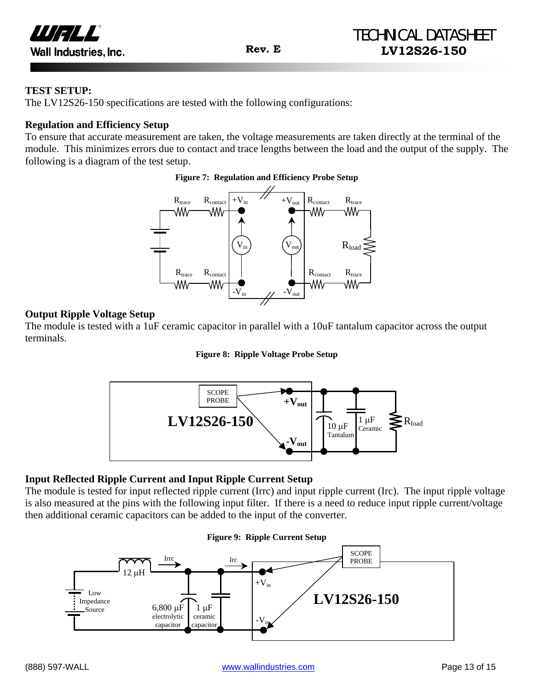

#### **TEST SETUP:**

The LV12S26-150 specifications are tested with the following configurations:

#### **Regulation and Efficiency Setup**

To ensure that accurate measurement are taken, the voltage measurements are taken directly at the terminal of the module. This minimizes errors due to contact and trace lengths between the load and the output of the supply. The following is a diagram of the test setup.

#### **Figure 7: Regulation and Efficiency Probe Setup**



#### **Output Ripple Voltage Setup**

The module is tested with a 1uF ceramic capacitor in parallel with a 10uF tantalum capacitor across the output terminals.

#### **Figure 8: Ripple Voltage Probe Setup**



#### **Input Reflected Ripple Current and Input Ripple Current Setup**

The module is tested for input reflected ripple current (Irrc) and input ripple current (Irc). The input ripple voltage is also measured at the pins with the following input filter. If there is a need to reduce input ripple current/voltage then additional ceramic capacitors can be added to the input of the converter.

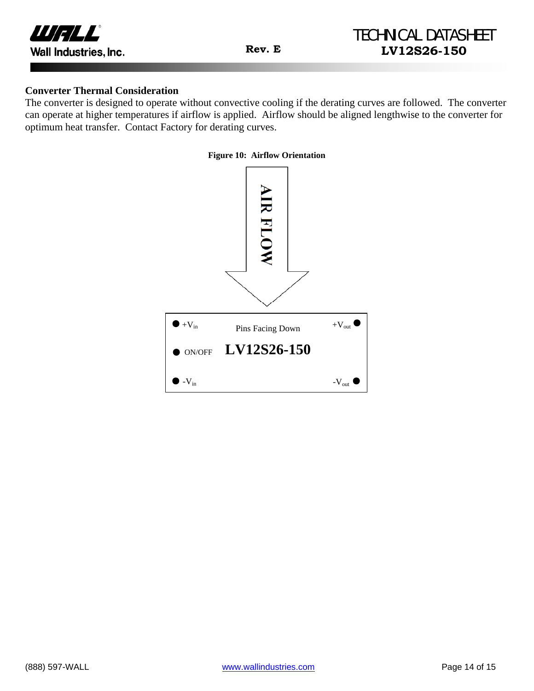

#### **Converter Thermal Consideration**

The converter is designed to operate without convective cooling if the derating curves are followed. The converter can operate at higher temperatures if airflow is applied. Airflow should be aligned lengthwise to the converter for optimum heat transfer. Contact Factory for derating curves.

#### **Figure 10: Airflow Orientation**